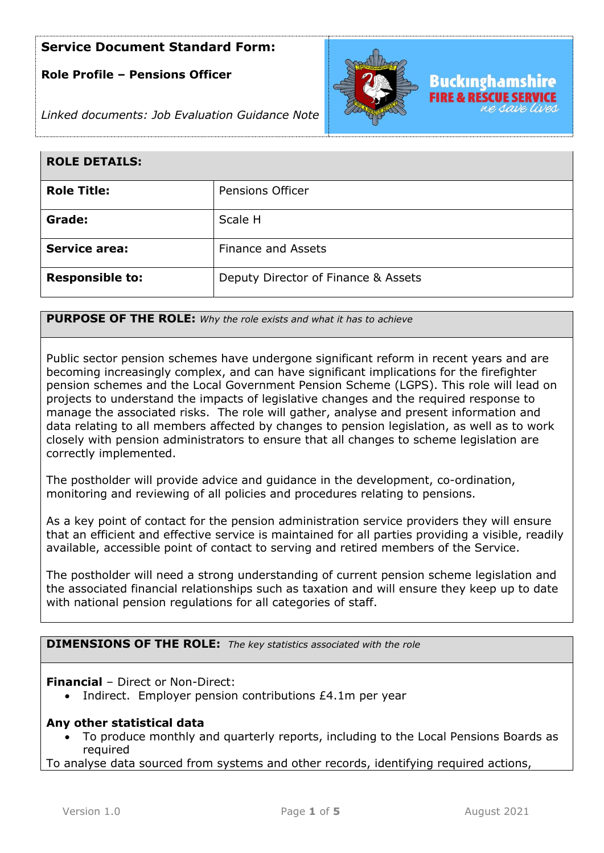### **Role Profile – Pensions Officer**



*Linked documents: Job Evaluation Guidance Note*

| <b>ROLE DETAILS:</b>   |                                     |
|------------------------|-------------------------------------|
| <b>Role Title:</b>     | Pensions Officer                    |
| Grade:                 | Scale H                             |
| <b>Service area:</b>   | <b>Finance and Assets</b>           |
| <b>Responsible to:</b> | Deputy Director of Finance & Assets |

**PURPOSE OF THE ROLE:** *Why the role exists and what it has to achieve* 

Public sector pension schemes have undergone significant reform in recent years and are becoming increasingly complex, and can have significant implications for the firefighter pension schemes and the Local Government Pension Scheme (LGPS). This role will lead on projects to understand the impacts of legislative changes and the required response to manage the associated risks. The role will gather, analyse and present information and data relating to all members affected by changes to pension legislation, as well as to work closely with pension administrators to ensure that all changes to scheme legislation are correctly implemented.

The postholder will provide advice and guidance in the development, co-ordination, monitoring and reviewing of all policies and procedures relating to pensions.

As a key point of contact for the pension administration service providers they will ensure that an efficient and effective service is maintained for all parties providing a visible, readily available, accessible point of contact to serving and retired members of the Service.

The postholder will need a strong understanding of current pension scheme legislation and the associated financial relationships such as taxation and will ensure they keep up to date with national pension regulations for all categories of staff.

**DIMENSIONS OF THE ROLE:** *The key statistics associated with the role*

**Financial** – Direct or Non-Direct:

• Indirect. Employer pension contributions £4.1m per year

### **Any other statistical data**

• To produce monthly and quarterly reports, including to the Local Pensions Boards as required

To analyse data sourced from systems and other records, identifying required actions,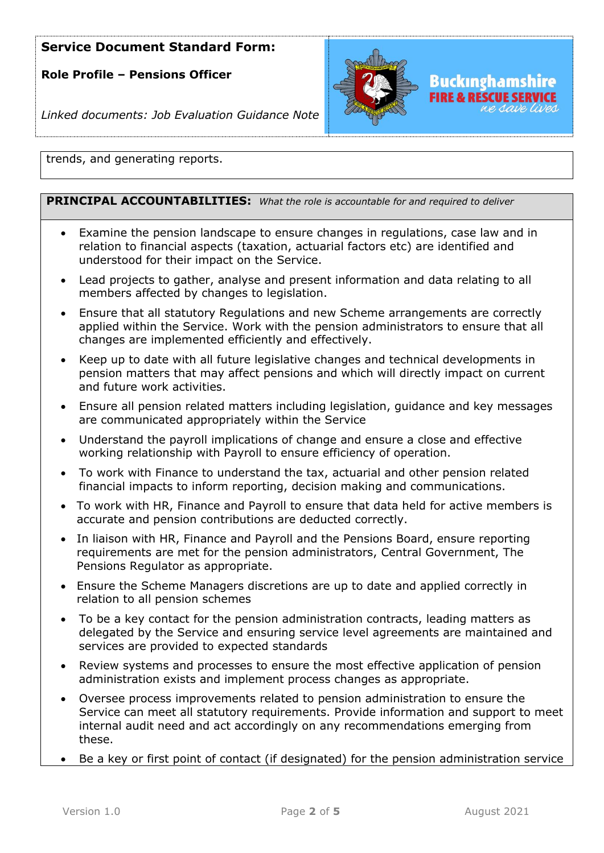**Role Profile – Pensions Officer**



*Linked documents: Job Evaluation Guidance Note*

trends, and generating reports.

### **PRINCIPAL ACCOUNTABILITIES:** *What the role is accountable for and required to deliver*

- Examine the pension landscape to ensure changes in regulations, case law and in relation to financial aspects (taxation, actuarial factors etc) are identified and understood for their impact on the Service.
- Lead projects to gather, analyse and present information and data relating to all members affected by changes to legislation.
- Ensure that all statutory Regulations and new Scheme arrangements are correctly applied within the Service. Work with the pension administrators to ensure that all changes are implemented efficiently and effectively.
- Keep up to date with all future legislative changes and technical developments in pension matters that may affect pensions and which will directly impact on current and future work activities.
- Ensure all pension related matters including legislation, guidance and key messages are communicated appropriately within the Service
- Understand the payroll implications of change and ensure a close and effective working relationship with Payroll to ensure efficiency of operation.
- To work with Finance to understand the tax, actuarial and other pension related financial impacts to inform reporting, decision making and communications.
- To work with HR, Finance and Payroll to ensure that data held for active members is accurate and pension contributions are deducted correctly.
- In liaison with HR, Finance and Payroll and the Pensions Board, ensure reporting requirements are met for the pension administrators, Central Government, The Pensions Regulator as appropriate.
- Ensure the Scheme Managers discretions are up to date and applied correctly in relation to all pension schemes
- To be a key contact for the pension administration contracts, leading matters as delegated by the Service and ensuring service level agreements are maintained and services are provided to expected standards
- Review systems and processes to ensure the most effective application of pension administration exists and implement process changes as appropriate.
- Oversee process improvements related to pension administration to ensure the Service can meet all statutory requirements. Provide information and support to meet internal audit need and act accordingly on any recommendations emerging from these.
- Be a key or first point of contact (if designated) for the pension administration service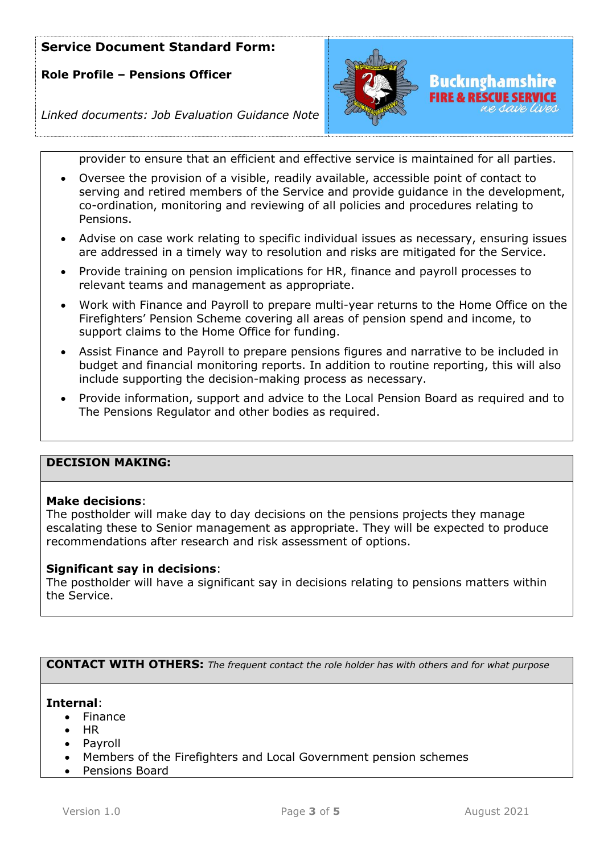**Role Profile – Pensions Officer**



# **Buckinghamshire** FIRE & RESCUE SERVICE

*Linked documents: Job Evaluation Guidance Note*

provider to ensure that an efficient and effective service is maintained for all parties.

- Oversee the provision of a visible, readily available, accessible point of contact to serving and retired members of the Service and provide guidance in the development, co-ordination, monitoring and reviewing of all policies and procedures relating to Pensions.
- Advise on case work relating to specific individual issues as necessary, ensuring issues are addressed in a timely way to resolution and risks are mitigated for the Service.
- Provide training on pension implications for HR, finance and payroll processes to relevant teams and management as appropriate.
- Work with Finance and Payroll to prepare multi-year returns to the Home Office on the Firefighters' Pension Scheme covering all areas of pension spend and income, to support claims to the Home Office for funding.
- Assist Finance and Payroll to prepare pensions figures and narrative to be included in budget and financial monitoring reports. In addition to routine reporting, this will also include supporting the decision-making process as necessary.
- Provide information, support and advice to the Local Pension Board as required and to The Pensions Regulator and other bodies as required.

### **DECISION MAKING:**

### **Make decisions**:

The postholder will make day to day decisions on the pensions projects they manage escalating these to Senior management as appropriate. They will be expected to produce recommendations after research and risk assessment of options.

### **Significant say in decisions**:

The postholder will have a significant say in decisions relating to pensions matters within the Service.

**CONTACT WITH OTHERS:** *The frequent contact the role holder has with others and for what purpose* 

#### **Internal**:

- Finance
- HR
- **Payroll**
- Members of the Firefighters and Local Government pension schemes
- Pensions Board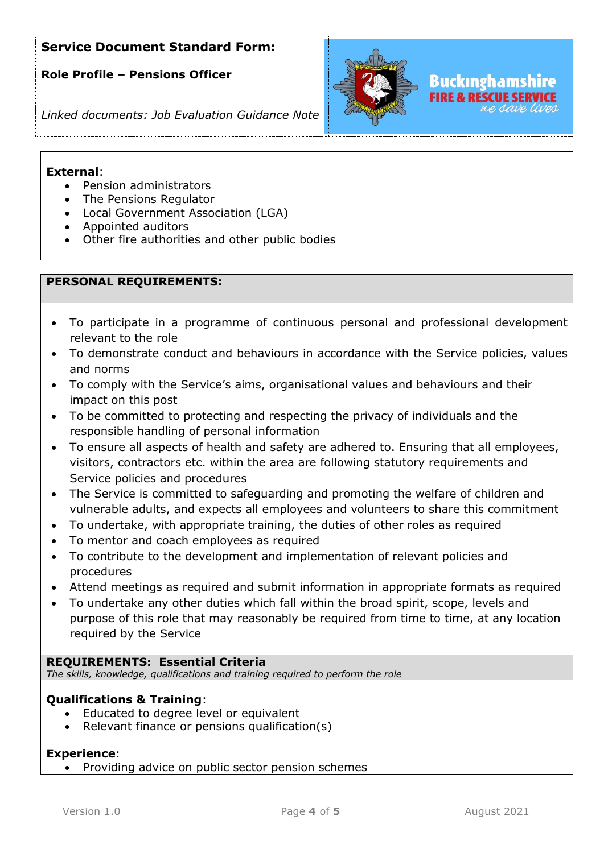**Role Profile – Pensions Officer**



### *Linked documents: Job Evaluation Guidance Note*

### **External**:

- Pension administrators
- The Pensions Regulator
- Local Government Association (LGA)
- Appointed auditors
- Other fire authorities and other public bodies

### **PERSONAL REQUIREMENTS:**

- To participate in a programme of continuous personal and professional development relevant to the role
- To demonstrate conduct and behaviours in accordance with the Service policies, values and norms
- To comply with the Service's aims, organisational values and behaviours and their impact on this post
- To be committed to protecting and respecting the privacy of individuals and the responsible handling of personal information
- To ensure all aspects of health and safety are adhered to. Ensuring that all employees, visitors, contractors etc. within the area are following statutory requirements and Service policies and procedures
- The Service is committed to safeguarding and promoting the welfare of children and vulnerable adults, and expects all employees and volunteers to share this commitment
- To undertake, with appropriate training, the duties of other roles as required
- To mentor and coach employees as required
- To contribute to the development and implementation of relevant policies and procedures
- Attend meetings as required and submit information in appropriate formats as required
- To undertake any other duties which fall within the broad spirit, scope, levels and purpose of this role that may reasonably be required from time to time, at any location required by the Service

### **REQUIREMENTS: Essential Criteria**

*The skills, knowledge, qualifications and training required to perform the role*

### **Qualifications & Training**:

- Educated to degree level or equivalent
- Relevant finance or pensions qualification(s)

### **Experience**:

• Providing advice on public sector pension schemes